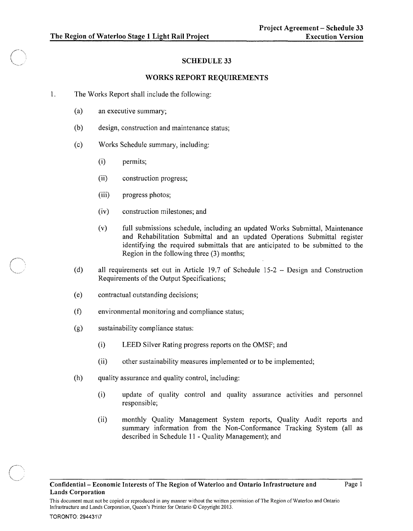## SCHEDULE 33

## WORKS REPORT REQUIREMENTS

- 1. The Works Report shall include the following:
	- (a) an executive summary;
	- (b) design, construction and maintenance status;
	- (c) Works Schedule summary, including:
		- (i) permits;
		- (ii) construction progress;
		- (iii) progress photos;
		- (iv) construction milestones; and
		- (v) full submissions schedule, including an updated Works Submittal, Maintenance and Rehabilitation Submittal and an updated Operations Submittal register identifying the required submittals that are anticipated to be submitted to the Region in the following three (3) months;
	- (d) all requirements set out in Article 19.7 of Schedule 15-2 Design and Construction Requirements of the Output Specifications;
	- (e) contractual outstanding decisions;
	- (t) environmental monitoring and compliance status;
	- (g) sustainability compliance status:
		- (i) LEED Silver Rating progress reports on the OMSF; and
		- (ii) other sustainability measures implemented or to be implemented;
	- (h) quality assurance and quality control, including:

Infrastructure and Lands Corporation, Queen's Printer for Ontario © Copyright 2013.

- (i) update of quality control and quality assurance activities and personnel responsible;
- (ii) monthly Quality Management System reports, Quality Audit reports and summary information from the Non-Conformance Tracking System (all as described in Schedule 11 - Quality Management); and

This document must not be copied or reproduced in any manner without the written permission of The Region of Waterloo and Ontario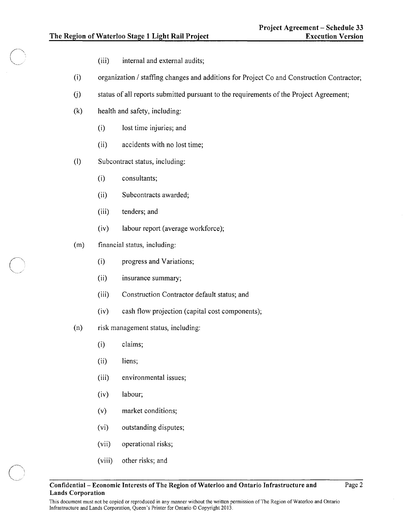- (iii) internal and external audits;
- (i) organization / staffing changes and additions for Project Co and Construction Contractor;
- (j) status of all reports submitted pursuant to the requirements of the Project Agreement;
- (k) health and safety, including:
	- (i) lost time injuries; and
	- (ii) accidents with no lost time;
- (I) Subcontract status, including:
	- (i) consultants;
	- (ii) Subcontracts awarded;
	- (iii) tenders; and
	- $(iv)$  labour report (average workforce);
- (m) financial status, including:
	- (i) progress and Variations;
	- (ii) insurance summary;
	- (iii) Construction Contractor default status; and
	- (iv) cash flow projection (capital cost components);
- (n) risk management status, including:
	- (i) claims;
	- (ii) liens;
	- (iii) environmental issues;
	- (iv) labour;
	- (v) market conditions;
	- (vi) outstanding disputes;
	- (vii) operational risks;
	- (viii) other risks; and

This document must not be copied or reproduced in any manner without the written permission of The Region of Waterloo and Ontario Infrastructure and Lands Corporation, Queen's Printer for Ontario © Copyright 2013.